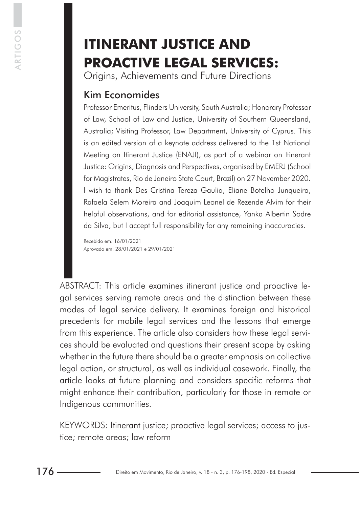# **ITINERANT JUSTICE AND PROACTIVE LEGAL SERVICES:**

Origins, Achievements and Future Directions

# Kim Economides

Professor Emeritus, Flinders University, South Australia; Honorary Professor of Law, School of Law and Justice, University of Southern Queensland, Australia; Visiting Professor, Law Department, University of Cyprus. This is an edited version of a keynote address delivered to the 1st National Meeting on Itinerant Justice (ENAJI), as part of a webinar on Itinerant Justice: Origins, Diagnosis and Perspectives, organised by EMERJ (School for Magistrates, Rio de Janeiro State Court, Brazil) on 27 November 2020. I wish to thank Des Cristina Tereza Gaulia, Eliane Botelho Junqueira, Rafaela Selem Moreira and Joaquim Leonel de Rezende Alvim for their helpful observations, and for editorial assistance, Yanka Albertin Sodre da Silva, but I accept full responsibility for any remaining inaccuracies.

Recebido em: 16/01/2021 Aprovado em: 28/01/2021 e 29/01/2021

ABSTRACT: This article examines itinerant justice and proactive legal services serving remote areas and the distinction between these modes of legal service delivery. It examines foreign and historical precedents for mobile legal services and the lessons that emerge from this experience. The article also considers how these legal services should be evaluated and questions their present scope by asking whether in the future there should be a greater emphasis on collective legal action, or structural, as well as individual casework. Finally, the article looks at future planning and considers specific reforms that might enhance their contribution, particularly for those in remote or Indigenous communities.

KEYWORDS: Itinerant justice; proactive legal services; access to justice; remote areas; law reform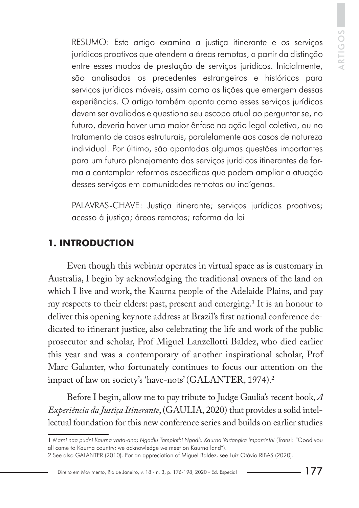RESUMO: Este artigo examina a justiça itinerante e os serviços jurídicos proativos que atendem a áreas remotas, a partir da distinção entre esses modos de prestação de serviços jurídicos. Inicialmente, são analisados os precedentes estrangeiros e históricos para serviços jurídicos móveis, assim como as lições que emergem dessas experiências. O artigo também aponta como esses serviços jurídicos devem ser avaliados e questiona seu escopo atual ao perguntar se, no futuro, deveria haver uma maior ênfase na ação legal coletiva, ou no tratamento de casos estruturais, paralelamente aos casos de natureza individual. Por último, são apontadas algumas questões importantes para um futuro planejamento dos serviços jurídicos itinerantes de forma a contemplar reformas específicas que podem ampliar a atuação desses serviços em comunidades remotas ou indígenas.

PALAVRAS-CHAVE: Justiça itinerante; serviços jurídicos proativos; acesso à justiça; áreas remotas; reforma da lei

#### **1. INTRODUCTION**

Even though this webinar operates in virtual space as is customary in Australia, I begin by acknowledging the traditional owners of the land on which I live and work, the Kaurna people of the Adelaide Plains, and pay my respects to their elders: past, present and emerging.1 It is an honour to deliver this opening keynote address at Brazil's first national conference dedicated to itinerant justice, also celebrating the life and work of the public prosecutor and scholar, Prof Miguel Lanzellotti Baldez, who died earlier this year and was a contemporary of another inspirational scholar, Prof Marc Galanter, who fortunately continues to focus our attention on the impact of law on society's 'have-nots' (GALANTER, 1974).2

Before I begin, allow me to pay tribute to Judge Gaulia's recent book, *A Experiência da Justiça Itinerante*, (GAULIA, 2020) that provides a solid intellectual foundation for this new conference series and builds on earlier studies

Direito em Movimento, Rio de Janeiro, v. 18 - n. 3, p. 176-198, 2020 - Ed. Especial

<sup>1</sup> *Marni naa pudni Kaurna yarta-ana; Ngadlu Tampinthi Ngadlu Kaurna Yartangka Imparrinthi* (Transl: "Good you all came to Kaurna country; we acknowledge we meet on Kaurna land").

<sup>2</sup> See also GALANTER (2010). For an appreciation of Miguel Baldez, see Luiz Otávio RIBAS (2020).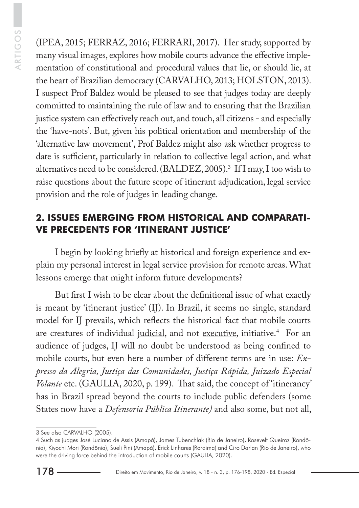(IPEA, 2015; FERRAZ, 2016; FERRARI, 2017). Her study, supported by many visual images, explores how mobile courts advance the effective implementation of constitutional and procedural values that lie, or should lie, at the heart of Brazilian democracy (CARVALHO, 2013; HOLSTON, 2013). I suspect Prof Baldez would be pleased to see that judges today are deeply committed to maintaining the rule of law and to ensuring that the Brazilian justice system can effectively reach out, and touch, all citizens - and especially the 'have-nots'. But, given his political orientation and membership of the 'alternative law movement', Prof Baldez might also ask whether progress to date is sufficient, particularly in relation to collective legal action, and what alternatives need to be considered. (BALDEZ, 2005).3 If I may, I too wish to raise questions about the future scope of itinerant adjudication, legal service provision and the role of judges in leading change.

## **2. ISSUES EMERGING FROM HISTORICAL AND COMPARATI-VE PRECEDENTS FOR 'ITINERANT JUSTICE'**

I begin by looking briefly at historical and foreign experience and explain my personal interest in legal service provision for remote areas. What lessons emerge that might inform future developments?

But first I wish to be clear about the definitional issue of what exactly is meant by 'itinerant justice' (IJ). In Brazil, it seems no single, standard model for IJ prevails, which reflects the historical fact that mobile courts are creatures of individual judicial, and not executive, initiative.<sup>4</sup> For an audience of judges, IJ will no doubt be understood as being confined to mobile courts, but even here a number of different terms are in use: *Expresso da Alegria, Justiça das Comunidades, Justiça Rápida, Juizado Especial Volante* etc. (GAULIA, 2020, p. 199). That said, the concept of 'itinerancy' has in Brazil spread beyond the courts to include public defenders (some States now have a *Defensoria Pública Itinerante)* and also some, but not all,

<sup>3</sup> See also CARVALHO (2005).

<sup>4</sup> Such as judges José Luciano de Assis (Amapá), James Tubenchlak (Rio de Janeiro), Rosevelt Queiroz (Rondônia), Kiyochi Mori (Rondônia), Sueli Pini (Amapá), Erick Linhares (Roraima) and Ciro Darlan (Rio de Janeiro), who were the driving force behind the introduction of mobile courts (GAULIA, 2020).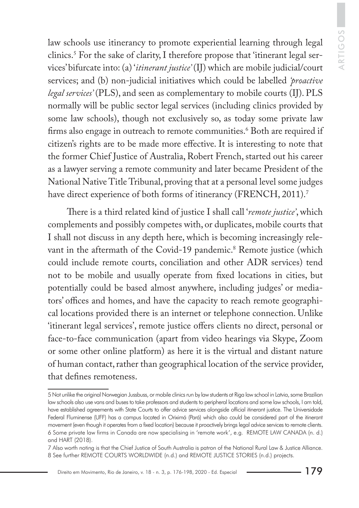law schools use itinerancy to promote experiential learning through legal clinics.5 For the sake of clarity, I therefore propose that 'itinerant legal services' bifurcate into: (a) '*itinerant justice'* (IJ) which are mobile judicial/court services; and (b) non-judicial initiatives which could be labelled *'proactive legal services'* (PLS), and seen as complementary to mobile courts (IJ). PLS normally will be public sector legal services (including clinics provided by some law schools), though not exclusively so, as today some private law firms also engage in outreach to remote communities.<sup>6</sup> Both are required if citizen's rights are to be made more effective. It is interesting to note that the former Chief Justice of Australia, Robert French, started out his career as a lawyer serving a remote community and later became President of the National Native Title Tribunal, proving that at a personal level some judges have direct experience of both forms of itinerancy (FRENCH, 2011).<sup>7</sup>

There is a third related kind of justice I shall call '*remote justice'*, which complements and possibly competes with, or duplicates, mobile courts that I shall not discuss in any depth here, which is becoming increasingly relevant in the aftermath of the Covid-19 pandemic.<sup>8</sup> Remote justice (which could include remote courts, conciliation and other ADR services) tend not to be mobile and usually operate from fixed locations in cities, but potentially could be based almost anywhere, including judges' or mediators' offices and homes, and have the capacity to reach remote geographical locations provided there is an internet or telephone connection. Unlike 'itinerant legal services', remote justice offers clients no direct, personal or face-to-face communication (apart from video hearings via Skype, Zoom or some other online platform) as here it is the virtual and distant nature of human contact, rather than geographical location of the service provider, that defines remoteness.

<sup>5</sup> Not unlike the original Norwegian Jussbuss, or mobile clinics run by law students at Riga law school in Latvia, some Brazilian law schools also use vans and buses to take professors and students to peripheral locations and some law schools, I am told, have established agreements with State Courts to offer advice services alongside official itinerant justice. The Universidade Federal Fluminense (UFF) has a campus located in Oriximá (Pará) which also could be considered part of the itinerant movement (even though it operates from a fixed location) because it proactively brings legal advice services to remote clients. 6 Some private law firms in Canada are now specialising in 'remote work', e.g. REMOTE LAW CANADA (n. d.) and HART (2018).

<sup>7</sup> Also worth noting is that the Chief Justice of South Australia is patron of the National Rural Law & Justice Alliance. 8 See further REMOTE COURTS WORLDWIDE (n.d.) and REMOTE JUSTICE STORIES (n.d.) projects.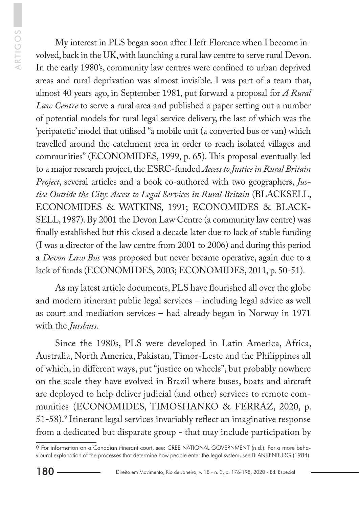My interest in PLS began soon after I left Florence when I become involved, back in the UK, with launching a rural law centre to serve rural Devon. In the early 1980's, community law centres were confined to urban deprived areas and rural deprivation was almost invisible. I was part of a team that, almost 40 years ago, in September 1981, put forward a proposal for *A Rural Law Centre* to serve a rural area and published a paper setting out a number of potential models for rural legal service delivery, the last of which was the 'peripatetic' model that utilised "a mobile unit (a converted bus or van) which travelled around the catchment area in order to reach isolated villages and communities" (ECONOMIDES, 1999, p. 65). This proposal eventually led to a major research project, the ESRC-funded *Access to Justice in Rural Britain Project*, several articles and a book co-authored with two geographers, *Justice Outside the City*: *Access to Legal Services in Rural Britain* (BLACKSELL, ECONOMIDES & WATKINS, 1991; ECONOMIDES & BLACK-SELL, 1987). By 2001 the Devon Law Centre (a community law centre) was finally established but this closed a decade later due to lack of stable funding (I was a director of the law centre from 2001 to 2006) and during this period a *Devon Law Bus* was proposed but never became operative, again due to a lack of funds (ECONOMIDES, 2003; ECONOMIDES, 2011, p. 50-51).

As my latest article documents, PLS have flourished all over the globe and modern itinerant public legal services – including legal advice as well as court and mediation services – had already began in Norway in 1971 with the *Jussbuss.*

Since the 1980s, PLS were developed in Latin America, Africa, Australia, North America, Pakistan, Timor-Leste and the Philippines all of which, in different ways, put "justice on wheels", but probably nowhere on the scale they have evolved in Brazil where buses, boats and aircraft are deployed to help deliver judicial (and other) services to remote communities (ECONOMIDES, TIMOSHANKO & FERRAZ, 2020, p. 51-58).9 Itinerant legal services invariably reflect an imaginative response from a dedicated but disparate group - that may include participation by

<sup>9</sup> For information on a Canadian itinerant court, see: CREE NATIONAL GOVERNMENT (n.d.). For a more behavioural explanation of the processes that determine how people enter the legal system, see BLANKENBURG (1984).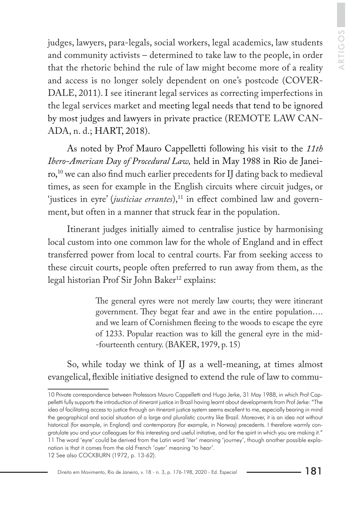judges, lawyers, para-legals, social workers, legal academics, law students and community activists – determined to take law to the people, in order that the rhetoric behind the rule of law might become more of a reality and access is no longer solely dependent on one's postcode (COVER-DALE, 2011). I see itinerant legal services as correcting imperfections in the legal services market and meeting legal needs that tend to be ignored by most judges and lawyers in private practice (REMOTE LAW CAN-ADA, n. d.; HART, 2018).

As noted by Prof Mauro Cappelletti following his visit to the *11th Ibero-American Day of Procedural Law,* held in May 1988 in Rio de Janeiro,10 we can also find much earlier precedents for IJ dating back to medieval times, as seen for example in the English circuits where circuit judges, or 'justices in eyre' (*justiciae errantes*),<sup>11</sup> in effect combined law and government, but often in a manner that struck fear in the population.

Itinerant judges initially aimed to centralise justice by harmonising local custom into one common law for the whole of England and in effect transferred power from local to central courts. Far from seeking access to these circuit courts, people often preferred to run away from them, as the legal historian Prof Sir John Baker<sup>12</sup> explains:

> The general eyres were not merely law courts; they were itinerant government. They begat fear and awe in the entire population…. and we learn of Cornishmen fleeing to the woods to escape the eyre of 1233. Popular reaction was to kill the general eyre in the mid- -fourteenth century. (BAKER, 1979, p. 15)

So, while today we think of IJ as a well-meaning, at times almost evangelical, flexible initiative designed to extend the rule of law to commu-

<sup>10</sup> Private correspondence between Professors Mauro Cappelletti and Hugo Jerke, 31 May 1988, in which Prof Cappelletti fully supports the introduction of itinerant justice in Brazil having learnt about developments from Prof Jerke: "The idea of facilitating access to justice through an itinerant justice system seems excellent to me, especially bearing in mind the geographical and social situation of a large and pluralistic country like Brazil. Moreover, it is an idea not without historical (for example, in England) and contemporary (for example, in Norway) precedents. I therefore warmly congratulate you and your colleagues for this interesting and useful initiative, and for the spirit in which you are making it." 11 The word 'eyre' could be derived from the Latin word 'iter' meaning 'journey', though another possible explanation is that it comes from the old French 'oyer' meaning 'to hear'. 12 See also COCKBURN (1972, p. 13-62).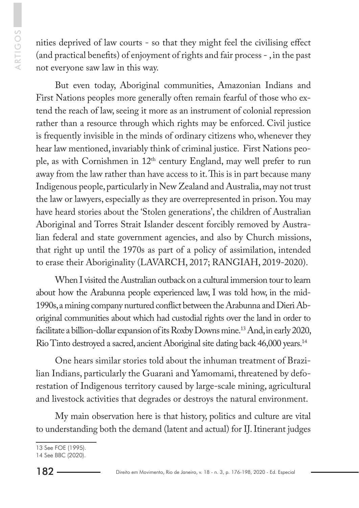ARTIGOS ARTIGOS

nities deprived of law courts - so that they might feel the civilising effect (and practical benefits) of enjoyment of rights and fair process - , in the past not everyone saw law in this way.

But even today, Aboriginal communities, Amazonian Indians and First Nations peoples more generally often remain fearful of those who extend the reach of law, seeing it more as an instrument of colonial repression rather than a resource through which rights may be enforced. Civil justice is frequently invisible in the minds of ordinary citizens who, whenever they hear law mentioned, invariably think of criminal justice. First Nations people, as with Cornishmen in  $12<sup>th</sup>$  century England, may well prefer to run away from the law rather than have access to it. This is in part because many Indigenous people, particularly in New Zealand and Australia, may not trust the law or lawyers, especially as they are overrepresented in prison. You may have heard stories about the 'Stolen generations', the children of Australian Aboriginal and Torres Strait Islander descent forcibly removed by Australian federal and state government agencies, and also by Church missions, that right up until the 1970s as part of a policy of assimilation, intended to erase their Aboriginality (LAVARCH, 2017; RANGIAH, 2019-2020).

When I visited the Australian outback on a cultural immersion tour to learn about how the Arabunna people experienced law, I was told how, in the mid-1990s, a mining company nurtured conflict between the Arabunna and Dieri Aboriginal communities about which had custodial rights over the land in order to facilitate a billion-dollar expansion of its Roxby Downs mine.<sup>13</sup> And, in early 2020, Rio Tinto destroyed a sacred, ancient Aboriginal site dating back 46,000 years.14

One hears similar stories told about the inhuman treatment of Brazilian Indians, particularly the Guarani and Yamomami, threatened by deforestation of Indigenous territory caused by large-scale mining, agricultural and livestock activities that degrades or destroys the natural environment.

My main observation here is that history, politics and culture are vital to understanding both the demand (latent and actual) for IJ. Itinerant judges

<sup>13</sup> See FOE (1995).

<sup>14</sup> See BBC (2020).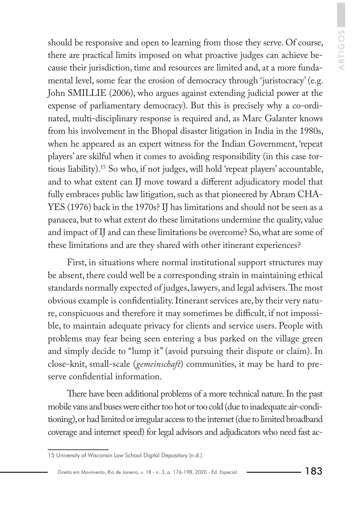should be responsive and open to learning from those they serve. Of course, there are practical limits imposed on what proactive judges can achieve because their jurisdiction, time and resources are limited and, at a more fundamental level, some fear the erosion of democracy through 'juristocracy' (e.g. John SMILLIE (2006), who argues against extending judicial power at the expense of parliamentary democracy). But this is precisely why a co-ordinated, multi-disciplinary response is required and, as Marc Galanter knows from his involvement in the Bhopal disaster litigation in India in the 1980s, when he appeared as an expert witness for the Indian Government, 'repeat players' are skilful when it comes to avoiding responsibility (in this case tortious liability).15 So who, if not judges, will hold 'repeat players' accountable, and to what extent can IJ move toward a different adjudicatory model that fully embraces public law litigation, such as that pioneered by Abram CHA-YES (1976) back in the 1970s? IJ has limitations and should not be seen as a panacea, but to what extent do these limitations undermine the quality, value and impact of IJ and can these limitations be overcome? So, what are some of these limitations and are they shared with other itinerant experiences?

First, in situations where normal institutional support structures may be absent, there could well be a corresponding strain in maintaining ethical standards normally expected of judges, lawyers, and legal advisers. The most obvious example is confidentiality. Itinerant services are, by their very nature, conspicuous and therefore it may sometimes be difficult, if not impossible, to maintain adequate privacy for clients and service users. People with problems may fear being seen entering a bus parked on the village green and simply decide to "lump it" (avoid pursuing their dispute or claim). In close-knit, small-scale (*gemeinschaft*) communities, it may be hard to preserve confidential information.

There have been additional problems of a more technical nature. In the past mobile vans and buses were either too hot or too cold (due to inadequate air-conditioning), or had limited or irregular access to the internet (due to limited broadband coverage and internet speed) for legal advisors and adjudicators who need fast ac-

<sup>15</sup> University of Wisconsin Law School Digital Depository (n.d.).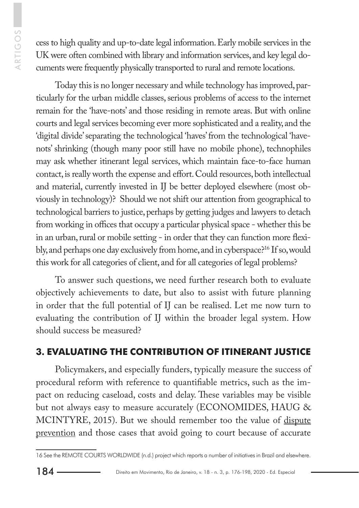cess to high quality and up-to-date legal information. Early mobile services in the UK were often combined with library and information services, and key legal documents were frequently physically transported to rural and remote locations.

Today this is no longer necessary and while technology has improved, particularly for the urban middle classes, serious problems of access to the internet remain for the 'have-nots' and those residing in remote areas. But with online courts and legal services becoming ever more sophisticated and a reality, and the 'digital divide' separating the technological 'haves' from the technological 'havenots' shrinking (though many poor still have no mobile phone), technophiles may ask whether itinerant legal services, which maintain face-to-face human contact, is really worth the expense and effort. Could resources, both intellectual and material, currently invested in IJ be better deployed elsewhere (most obviously in technology)? Should we not shift our attention from geographical to technological barriers to justice, perhaps by getting judges and lawyers to detach from working in offices that occupy a particular physical space - whether this be in an urban, rural or mobile setting - in order that they can function more flexibly, and perhaps one day exclusively from home, and in cyberspace?16 If so, would this work for all categories of client, and for all categories of legal problems?

To answer such questions, we need further research both to evaluate objectively achievements to date, but also to assist with future planning in order that the full potential of IJ can be realised. Let me now turn to evaluating the contribution of IJ within the broader legal system. How should success be measured?

# **3. EVALUATING THE CONTRIBUTION OF ITINERANT JUSTICE**

Policymakers, and especially funders, typically measure the success of procedural reform with reference to quantifiable metrics, such as the impact on reducing caseload, costs and delay. These variables may be visible but not always easy to measure accurately (ECONOMIDES, HAUG & MCINTYRE, 2015). But we should remember too the value of dispute prevention and those cases that avoid going to court because of accurate

<sup>16</sup> See the REMOTE COURTS WORLDWIDE (n.d.) project which reports a number of initiatives in Brazil and elsewhere.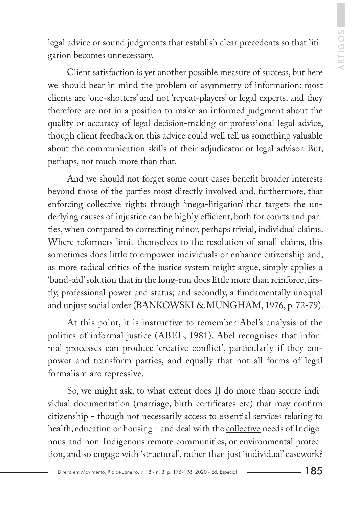legal advice or sound judgments that establish clear precedents so that litigation becomes unnecessary.

Client satisfaction is yet another possible measure of success, but here we should bear in mind the problem of asymmetry of information: most clients are 'one-shotters' and not 'repeat-players' or legal experts, and they therefore are not in a position to make an informed judgment about the quality or accuracy of legal decision-making or professional legal advice, though client feedback on this advice could well tell us something valuable about the communication skills of their adjudicator or legal advisor. But, perhaps, not much more than that.

And we should not forget some court cases benefit broader interests beyond those of the parties most directly involved and, furthermore, that enforcing collective rights through 'mega-litigation' that targets the underlying causes of injustice can be highly efficient, both for courts and parties, when compared to correcting minor, perhaps trivial, individual claims. Where reformers limit themselves to the resolution of small claims, this sometimes does little to empower individuals or enhance citizenship and, as more radical critics of the justice system might argue, simply applies a 'band-aid' solution that in the long-run does little more than reinforce, firstly, professional power and status; and secondly, a fundamentally unequal and unjust social order (BANKOWSKI & MUNGHAM, 1976, p. 72-79).

At this point, it is instructive to remember Abel's analysis of the politics of informal justice (ABEL, 1981). Abel recognises that informal processes can produce 'creative conflict', particularly if they empower and transform parties, and equally that not all forms of legal formalism are repressive.

So, we might ask, to what extent does IJ do more than secure individual documentation (marriage, birth certificates etc) that may confirm citizenship - though not necessarily access to essential services relating to health, education or housing - and deal with the collective needs of Indigenous and non-Indigenous remote communities, or environmental protection, and so engage with 'structural', rather than just 'individual' casework?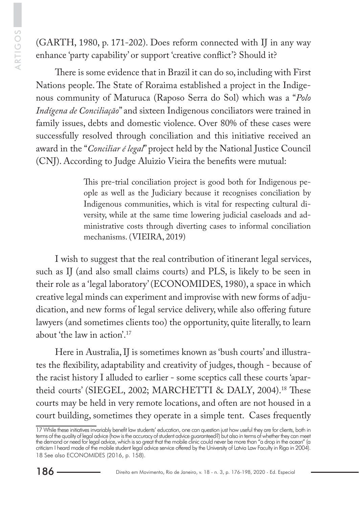(GARTH, 1980, p. 171-202). Does reform connected with IJ in any way enhance 'party capability' or support 'creative conflict'? Should it?

There is some evidence that in Brazil it can do so, including with First Nations people. The State of Roraima established a project in the Indigenous community of Maturuca (Raposo Serra do Sol) which was a "*Polo Indígena de Conciliação*" and sixteen Indigenous conciliators were trained in family issues, debts and domestic violence. Over 80% of these cases were successfully resolved through conciliation and this initiative received an award in the "*Conciliar é legal*" project held by the National Justice Council (CNJ). According to Judge Aluizio Vieira the benefits were mutual:

> This pre-trial conciliation project is good both for Indigenous people as well as the Judiciary because it recognises conciliation by Indigenous communities, which is vital for respecting cultural diversity, while at the same time lowering judicial caseloads and administrative costs through diverting cases to informal conciliation mechanisms. (VIEIRA, 2019)

I wish to suggest that the real contribution of itinerant legal services, such as IJ (and also small claims courts) and PLS, is likely to be seen in their role as a 'legal laboratory' (ECONOMIDES, 1980), a space in which creative legal minds can experiment and improvise with new forms of adjudication, and new forms of legal service delivery, while also offering future lawyers (and sometimes clients too) the opportunity, quite literally, to learn about 'the law in action'.17

Here in Australia, IJ is sometimes known as 'bush courts' and illustrates the flexibility, adaptability and creativity of judges, though - because of the racist history I alluded to earlier - some sceptics call these courts 'apartheid courts' (SIEGEL, 2002; MARCHETTI & DALY, 2004).<sup>18</sup> These courts may be held in very remote locations, and often are not housed in a court building, sometimes they operate in a simple tent. Cases frequently

<sup>17</sup> While these initiatives invariably benefit law students' education, one can question just how useful they are for clients, both in terms of the quality of legal advice (how is the accuracy of student advice guaranteed?) but also in terms of whether they can meet the demand or need for legal advice, which is so great that the mobile clinic could never be more than "a drop in the ocean" (a criticism I heard made of the mobile student legal advice service offered by the University of Latvia Law Faculty in Riga in 2004). 18 See also ECONOMIDES (2016, p. 158).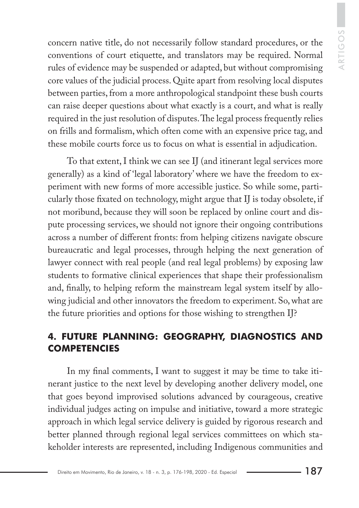concern native title, do not necessarily follow standard procedures, or the conventions of court etiquette, and translators may be required. Normal rules of evidence may be suspended or adapted, but without compromising core values of the judicial process. Quite apart from resolving local disputes between parties, from a more anthropological standpoint these bush courts can raise deeper questions about what exactly is a court, and what is really required in the just resolution of disputes. The legal process frequently relies on frills and formalism, which often come with an expensive price tag, and these mobile courts force us to focus on what is essential in adjudication.

To that extent, I think we can see IJ (and itinerant legal services more generally) as a kind of 'legal laboratory' where we have the freedom to experiment with new forms of more accessible justice. So while some, particularly those fixated on technology, might argue that IJ is today obsolete, if not moribund, because they will soon be replaced by online court and dispute processing services, we should not ignore their ongoing contributions across a number of different fronts: from helping citizens navigate obscure bureaucratic and legal processes, through helping the next generation of lawyer connect with real people (and real legal problems) by exposing law students to formative clinical experiences that shape their professionalism and, finally, to helping reform the mainstream legal system itself by allowing judicial and other innovators the freedom to experiment. So, what are the future priorities and options for those wishing to strengthen IJ?

## **4. FUTURE PLANNING: GEOGRAPHY, DIAGNOSTICS AND COMPETENCIES**

In my final comments, I want to suggest it may be time to take itinerant justice to the next level by developing another delivery model, one that goes beyond improvised solutions advanced by courageous, creative individual judges acting on impulse and initiative, toward a more strategic approach in which legal service delivery is guided by rigorous research and better planned through regional legal services committees on which stakeholder interests are represented, including Indigenous communities and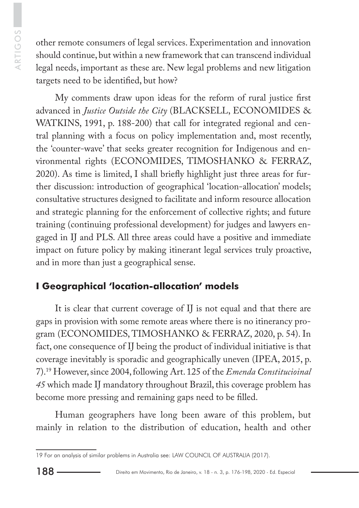other remote consumers of legal services. Experimentation and innovation should continue, but within a new framework that can transcend individual legal needs, important as these are. New legal problems and new litigation targets need to be identified, but how?

My comments draw upon ideas for the reform of rural justice first advanced in *Justice Outside the City* (BLACKSELL, ECONOMIDES & WATKINS, 1991, p. 188-200) that call for integrated regional and central planning with a focus on policy implementation and, most recently, the 'counter-wave' that seeks greater recognition for Indigenous and environmental rights (ECONOMIDES, TIMOSHANKO & FERRAZ, 2020). As time is limited, I shall briefly highlight just three areas for further discussion: introduction of geographical 'location-allocation' models; consultative structures designed to facilitate and inform resource allocation and strategic planning for the enforcement of collective rights; and future training (continuing professional development) for judges and lawyers engaged in IJ and PLS. All three areas could have a positive and immediate impact on future policy by making itinerant legal services truly proactive, and in more than just a geographical sense.

## **I Geographical 'location-allocation' models**

It is clear that current coverage of IJ is not equal and that there are gaps in provision with some remote areas where there is no itinerancy program (ECONOMIDES, TIMOSHANKO & FERRAZ, 2020, p. 54). In fact, one consequence of IJ being the product of individual initiative is that coverage inevitably is sporadic and geographically uneven (IPEA, 2015, p. 7).19 However, since 2004, following Art. 125 of the *Emenda Constitucioinal 45* which made IJ mandatory throughout Brazil, this coverage problem has become more pressing and remaining gaps need to be filled.

Human geographers have long been aware of this problem, but mainly in relation to the distribution of education, health and other

<sup>19</sup> For an analysis of similar problems in Australia see: LAW COUNCIL OF AUSTRALIA (2017).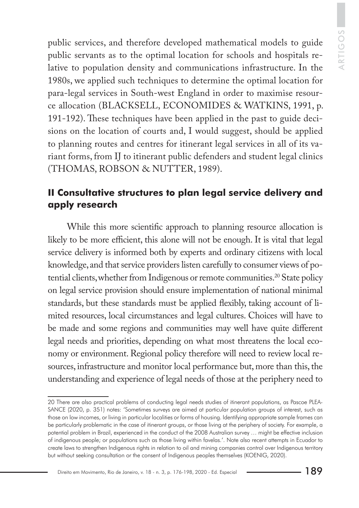public services, and therefore developed mathematical models to guide public servants as to the optimal location for schools and hospitals relative to population density and communications infrastructure. In the 1980s, we applied such techniques to determine the optimal location for para-legal services in South-west England in order to maximise resource allocation (BLACKSELL, ECONOMIDES & WATKINS, 1991, p. 191-192). These techniques have been applied in the past to guide decisions on the location of courts and, I would suggest, should be applied to planning routes and centres for itinerant legal services in all of its variant forms, from IJ to itinerant public defenders and student legal clinics (THOMAS, ROBSON & NUTTER, 1989).

#### **II Consultative structures to plan legal service delivery and apply research**

While this more scientific approach to planning resource allocation is likely to be more efficient, this alone will not be enough. It is vital that legal service delivery is informed both by experts and ordinary citizens with local knowledge, and that service providers listen carefully to consumer views of potential clients, whether from Indigenous or remote communities.<sup>20</sup> State policy on legal service provision should ensure implementation of national minimal standards, but these standards must be applied flexibly, taking account of limited resources, local circumstances and legal cultures. Choices will have to be made and some regions and communities may well have quite different legal needs and priorities, depending on what most threatens the local economy or environment. Regional policy therefore will need to review local resources, infrastructure and monitor local performance but, more than this, the understanding and experience of legal needs of those at the periphery need to

<sup>20</sup> There are also practical problems of conducting legal needs studies of itinerant populations, as Pascoe PLEA-SANCE (2020, p. 351) notes: 'Sometimes surveys are aimed at particular population groups of interest, such as those on low incomes, or living in particular localities or forms of housing. Identifying appropriate sample frames can be particularly problematic in the case of itinerant groups, or those living at the periphery of society. For example, a potential problem in Brazil, experienced in the conduct of the 2008 Australian survey … might be effective inclusion of indigenous people; or populations such as those living within favelas.'. Note also recent attempts in Ecuador to create laws to strengthen Indigenous rights in relation to oil and mining companies control over Indigenous territory but without seeking consultation or the consent of Indigenous peoples themselves (KOENIG, 2020).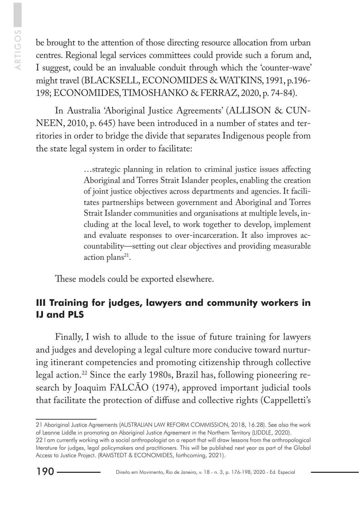be brought to the attention of those directing resource allocation from urban centres. Regional legal services committees could provide such a forum and, I suggest, could be an invaluable conduit through which the 'counter-wave' might travel (BLACKSELL, ECONOMIDES & WATKINS, 1991, p.196- 198; ECONOMIDES, TIMOSHANKO & FERRAZ, 2020, p. 74-84).

In Australia 'Aboriginal Justice Agreements' (ALLISON & CUN-NEEN, 2010, p. 645) have been introduced in a number of states and territories in order to bridge the divide that separates Indigenous people from the state legal system in order to facilitate:

> …strategic planning in relation to criminal justice issues affecting Aboriginal and Torres Strait Islander peoples, enabling the creation of joint justice objectives across departments and agencies. It facilitates partnerships between government and Aboriginal and Torres Strait Islander communities and organisations at multiple levels, including at the local level, to work together to develop, implement and evaluate responses to over-incarceration. It also improves accountability—setting out clear objectives and providing measurable action plans $21$ .

These models could be exported elsewhere.

#### **III Training for judges, lawyers and community workers in IJ and PLS**

Finally, I wish to allude to the issue of future training for lawyers and judges and developing a legal culture more conducive toward nurturing itinerant competencies and promoting citizenship through collective legal action.22 Since the early 1980s, Brazil has, following pioneering research by Joaquim FALCÃO (1974), approved important judicial tools that facilitate the protection of diffuse and collective rights (Cappelletti's

<sup>21</sup> Aboriginal Justice Agreements (AUSTRALIAN LAW REFORM COMMISSION, 2018, 16.28). See also the work of Leanne Liddle in promoting an Aboriginal Justice Agreement in the Northern Territory (LIDDLE, 2020).

<sup>22</sup> I am currently working with a social anthropologist on a report that will draw lessons from the anthropological literature for judges, legal policymakers and practitioners. This will be published next year as part of the Global Access to Justice Project. (RAMSTEDT & ECONOMIDES, forthcoming, 2021).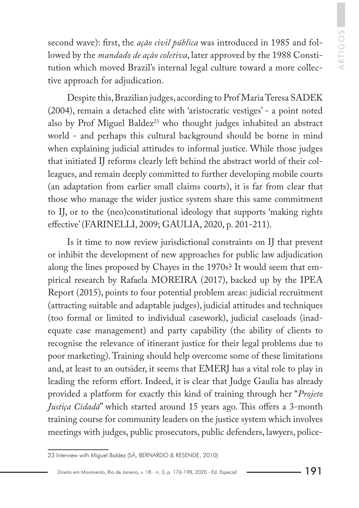second wave): first, the *ação civil pública* was introduced in 1985 and followed by the *mandado de ação coletiva*, later approved by the 1988 Constitution which moved Brazil's internal legal culture toward a more collective approach for adjudication.

Despite this, Brazilian judges, according to Prof Maria Teresa SADEK (2004), remain a detached elite with 'aristocratic vestiges' - a point noted also by Prof Miguel Baldez<sup>23</sup> who thought judges inhabited an abstract world - and perhaps this cultural background should be borne in mind when explaining judicial attitudes to informal justice. While those judges that initiated IJ reforms clearly left behind the abstract world of their colleagues, and remain deeply committed to further developing mobile courts (an adaptation from earlier small claims courts), it is far from clear that those who manage the wider justice system share this same commitment to IJ, or to the (neo)constitutional ideology that supports 'making rights effective' (FARINELLI, 2009; GAULIA, 2020, p. 201-211).

Is it time to now review jurisdictional constraints on IJ that prevent or inhibit the development of new approaches for public law adjudication along the lines proposed by Chayes in the 1970s? It would seem that empirical research by Rafaela MOREIRA (2017), backed up by the IPEA Report (2015), points to four potential problem areas: judicial recruitment (attracting suitable and adaptable judges), judicial attitudes and techniques (too formal or limited to individual casework), judicial caseloads (inadequate case management) and party capability (the ability of clients to recognise the relevance of itinerant justice for their legal problems due to poor marketing). Training should help overcome some of these limitations and, at least to an outsider, it seems that EMERJ has a vital role to play in leading the reform effort. Indeed, it is clear that Judge Gaulia has already provided a platform for exactly this kind of training through her "*Projeto Justiça Cidadã*" which started around 15 years ago. This offers a 3-month training course for community leaders on the justice system which involves meetings with judges, public prosecutors, public defenders, lawyers, police-

<sup>23</sup> Interview with Miguel Baldez (SÁ, BERNARDO & RESENDE, 2010)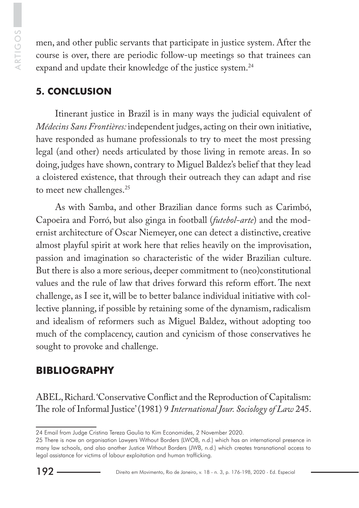men, and other public servants that participate in justice system. After the course is over, there are periodic follow-up meetings so that trainees can expand and update their knowledge of the justice system.<sup>24</sup>

## **5. CONCLUSION**

Itinerant justice in Brazil is in many ways the judicial equivalent of *Médecins Sans Frontières:* independent judges, acting on their own initiative, have responded as humane professionals to try to meet the most pressing legal (and other) needs articulated by those living in remote areas. In so doing, judges have shown, contrary to Miguel Baldez's belief that they lead a cloistered existence, that through their outreach they can adapt and rise to meet new challenges.<sup>25</sup>

As with Samba, and other Brazilian dance forms such as Carimbó, Capoeira and Forró, but also ginga in football (*futebol-arte*) and the modernist architecture of Oscar Niemeyer, one can detect a distinctive, creative almost playful spirit at work here that relies heavily on the improvisation, passion and imagination so characteristic of the wider Brazilian culture. But there is also a more serious, deeper commitment to (neo)constitutional values and the rule of law that drives forward this reform effort. The next challenge, as I see it, will be to better balance individual initiative with collective planning, if possible by retaining some of the dynamism, radicalism and idealism of reformers such as Miguel Baldez, without adopting too much of the complacency, caution and cynicism of those conservatives he sought to provoke and challenge.

# **BIBLIOGRAPHY**

ABEL, Richard. 'Conservative Conflict and the Reproduction of Capitalism: The role of Informal Justice' (1981) 9 *International Jour. Sociology of Law* 245.

<sup>24</sup> Email from Judge Cristina Tereza Gaulia to Kim Economides, 2 November 2020.

<sup>25</sup> There is now an organisation Lawyers Without Borders (LWOB, n.d.) which has an international presence in many law schools, and also another Justice Without Borders (JWB, n.d.) which creates transnational access to legal assistance for victims of labour exploitation and human trafficking.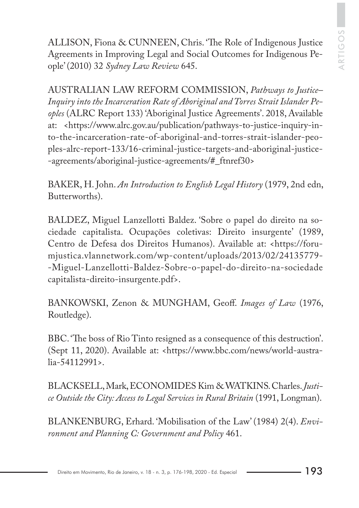ALLISON, Fiona & CUNNEEN, Chris. 'The Role of Indigenous Justice Agreements in Improving Legal and Social Outcomes for Indigenous People' (2010) 32 *Sydney Law Review* 645.

AUSTRALIAN LAW REFORM COMMISSION, *Pathways to Justice– Inquiry into the Incarceration Rate of Aboriginal and Torres Strait Islander Peoples* (ALRC Report 133) 'Aboriginal Justice Agreements'. 2018, Available at: <https://www.alrc.gov.au/publication/pathways-to-justice-inquiry-into-the-incarceration-rate-of-aboriginal-and-torres-strait-islander-peoples-alrc-report-133/16-criminal-justice-targets-and-aboriginal-justice- -agreements/aboriginal-justice-agreements/#\_ftnref30>

BAKER, H. John. *An Introduction to English Legal History* (1979, 2nd edn, Butterworths).

BALDEZ, Miguel Lanzellotti Baldez. 'Sobre o papel do direito na sociedade capitalista. Ocupações coletivas: Direito insurgente' (1989, Centro de Defesa dos Direitos Humanos). Available at: <https://forumjustica.vlannetwork.com/wp-content/uploads/2013/02/24135779- -Miguel-Lanzellotti-Baldez-Sobre-o-papel-do-direito-na-sociedade capitalista-direito-insurgente.pdf>.

BANKOWSKI, Zenon & MUNGHAM, Geoff. *Images of Law* (1976, Routledge).

BBC. 'The boss of Rio Tinto resigned as a consequence of this destruction'. (Sept 11, 2020). Available at: <https://www.bbc.com/news/world-australia-54112991>.

BLACKSELL, Mark, ECONOMIDES Kim & WATKINS. Charles. *Justice Outside the City: Access to Legal Services in Rural Britain* (1991, Longman).

BLANKENBURG, Erhard. 'Mobilisation of the Law' (1984) 2(4). *Environment and Planning C: Government and Policy* 461.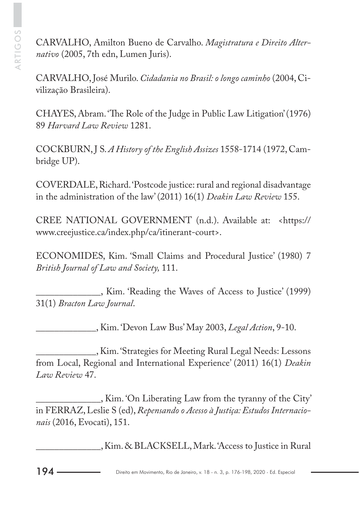CARVALHO, Amilton Bueno de Carvalho. *Magistratura e Direito Alternativo* (2005, 7th edn, Lumen Juris).

CARVALHO, José Murilo. *Cidadania no Brasil: o longo caminho* (2004, Civilização Brasileira).

CHAYES, Abram. 'The Role of the Judge in Public Law Litigation' (1976) 89 *Harvard Law Review* 1281.

COCKBURN, J S. *A History of the English Assizes* 1558-1714 (1972, Cambridge UP).

COVERDALE, Richard. 'Postcode justice: rural and regional disadvantage in the administration of the law' (2011) 16(1) *Deakin Law Review* 155.

CREE NATIONAL GOVERNMENT (n.d.). Available at: <https:// www.creejustice.ca/index.php/ca/itinerant-court>.

ECONOMIDES, Kim. 'Small Claims and Procedural Justice' (1980) 7 *British Journal of Law and Society,* 111.

\_\_\_\_\_\_\_\_\_\_\_\_\_\_, Kim. 'Reading the Waves of Access to Justice' (1999) 31(1) *Bracton Law Journal*.

\_\_\_\_\_\_\_\_\_\_\_\_\_, Kim. 'Devon Law Bus' May 2003, *Legal Action*, 9-10.

\_\_\_\_\_\_\_\_\_\_\_\_\_, Kim. 'Strategies for Meeting Rural Legal Needs: Lessons from Local, Regional and International Experience' (2011) 16(1) *Deakin Law Review* 47.

\_\_\_\_\_\_\_\_\_\_\_\_\_\_, Kim. 'On Liberating Law from the tyranny of the City' in FERRAZ, Leslie S (ed), *Repensando o Acesso à Justiça: Estudos Internacionais* (2016, Evocati), 151.

\_\_\_\_\_\_\_\_\_\_\_\_\_\_, Kim. & BLACKSELL, Mark. 'Access to Justice in Rural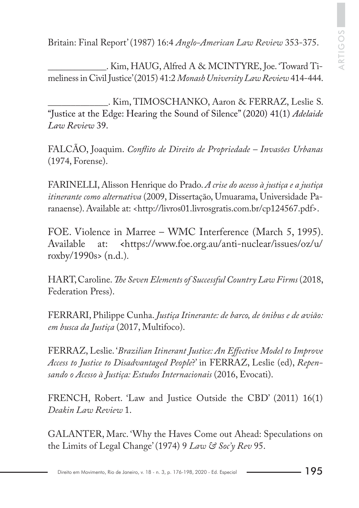Britain: Final Report' (1987) 16:4 *Anglo-American Law Review* 353-375.

\_\_\_\_\_\_\_\_\_\_\_\_\_. Kim, HAUG, Alfred A & MCINTYRE, Joe. 'Toward Timeliness in Civil Justice' (2015) 41:2 *Monash University Law Review* 414-444.

\_\_\_\_\_\_\_\_\_\_\_\_\_. Kim, TIMOSCHANKO, Aaron & FERRAZ, Leslie S. "Justice at the Edge: Hearing the Sound of Silence" (2020) 41(1) *Adelaide Law Review* 39.

FALCÃO, Joaquim. *Conflito de Direito de Propriedade – Invasões Urbanas* (1974, Forense).

FARINELLI, Alisson Henrique do Prado. *A crise do acesso à justiça e a justiça itinerante como alternativa* (2009, Dissertação, Umuarama, Universidade Paranaense). Available at: <http://livros01.livrosgratis.com.br/cp124567.pdf>.

FOE. Violence in Marree – WMC Interference (March 5, 1995). Available at: **<**https://www.foe.org.au/anti-nuclear/issues/oz/u/ roxby/1990s> (n.d.).

HART, Caroline. *The Seven Elements of Successful Country Law Firms* (2018, Federation Press).

FERRARI, Philippe Cunha. *Justiça Itinerante: de barco, de ônibus e de avião: em busca da Justiça* (2017, Multifoco).

FERRAZ, Leslie. '*Brazilian Itinerant Justice: An Effective Model to Improve Access to Justice to Disadvantaged People*?' in FERRAZ, Leslie (ed), *Repensando o Acesso à Justiça: Estudos Internacionais* (2016, Evocati).

FRENCH, Robert. 'Law and Justice Outside the CBD' (2011) 16(1) *Deakin Law Review* 1.

GALANTER, Marc. 'Why the Haves Come out Ahead: Speculations on the Limits of Legal Change' (1974) 9 *Law & Soc'y Rev* 95.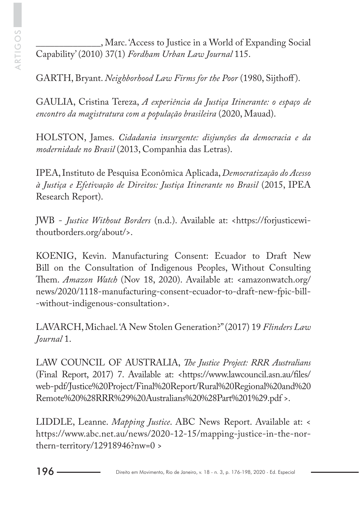\_\_\_\_\_\_\_\_\_\_\_\_\_\_, Marc. 'Access to Justice in a World of Expanding Social Capability' (2010) 37(1) *Fordham Urban Law Journal* 115.

GARTH, Bryant. *Neighborhood Law Firms for the Poor* (1980, Sijthoff ).

GAULIA, Cristina Tereza, *A experiência da Justiça Itinerante: o espaço de encontro da magistratura com a população brasileira* (2020, Mauad).

HOLSTON, James. *Cidadania insurgente: disjunções da democracia e da modernidade no Brasil* (2013, Companhia das Letras).

IPEA, Instituto de Pesquisa Econômica Aplicada, *Democratização do Acesso à Justiça e Efetivação de Direitos: Justiça Itinerante no Brasil* (2015, IPEA Research Report).

JWB - *Justice Without Borders* (n.d.). Available at: <https://forjusticewithoutborders.org/about/>.

KOENIG, Kevin. Manufacturing Consent: Ecuador to Draft New Bill on the Consultation of Indigenous Peoples, Without Consulting Them. *Amazon Watch* (Nov 18, 2020). Available at: <amazonwatch.org/ news/2020/1118-manufacturing-consent-ecuador-to-draft-new-fpic-bill- -without-indigenous-consultation>.

LAVARCH, Michael. 'A New Stolen Generation?" (2017) 19 *Flinders Law Journal* 1.

LAW COUNCIL OF AUSTRALIA, *The Justice Project: RRR Australians*  (Final Report, 2017) 7. Available at: <https://www.lawcouncil.asn.au/files/ web-pdf/Justice%20Project/Final%20Report/Rural%20Regional%20and%20 Remote%20%28RRR%29%20Australians%20%28Part%201%29.pdf >.

LIDDLE, Leanne. *Mapping Justice*. ABC News Report. Available at: < https://www.abc.net.au/news/2020-12-15/mapping-justice-in-the-northern-territory/12918946?nw=0 >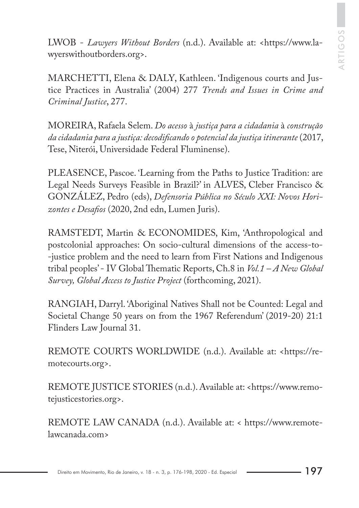LWOB - *Lawyers Without Borders* (n.d.). Available at: <https://www.lawyerswithoutborders.org>.

MARCHETTI, Elena & DALY, Kathleen. 'Indigenous courts and Justice Practices in Australia' (2004) 277 *Trends and Issues in Crime and Criminal Justice*, 277.

MOREIRA, Rafaela Selem. *Do acesso* à *justiça para a cidadania* à *construção da cidadania para a justiça: decodificando o potencial da justiça itinerante* (2017, Tese, Niterói, Universidade Federal Fluminense).

PLEASENCE, Pascoe. 'Learning from the Paths to Justice Tradition: are Legal Needs Surveys Feasible in Brazil?' in ALVES, Cleber Francisco & GONZÁLEZ, Pedro (eds), *Defensoria Pública no Século XXI: Novos Horizontes e Desafios* (2020, 2nd edn, Lumen Juris).

RAMSTEDT, Martin & ECONOMIDES, Kim, 'Anthropological and postcolonial approaches: On socio-cultural dimensions of the access-to- -justice problem and the need to learn from First Nations and Indigenous tribal peoples' - IV Global Thematic Reports, Ch.8 in *Vol.1 – A New Global Survey, Global Access to Justice Project* (forthcoming, 2021).

RANGIAH, Darryl. 'Aboriginal Natives Shall not be Counted: Legal and Societal Change 50 years on from the 1967 Referendum' (2019-20) 21:1 Flinders Law Journal 31.

REMOTE COURTS WORLDWIDE (n.d.). Available at: <https://remotecourts.org>.

REMOTE JUSTICE STORIES (n.d.). Available at: <https://www.remotejusticestories.org>.

REMOTE LAW CANADA (n.d.). Available at: < https://www.remotelawcanada.com>